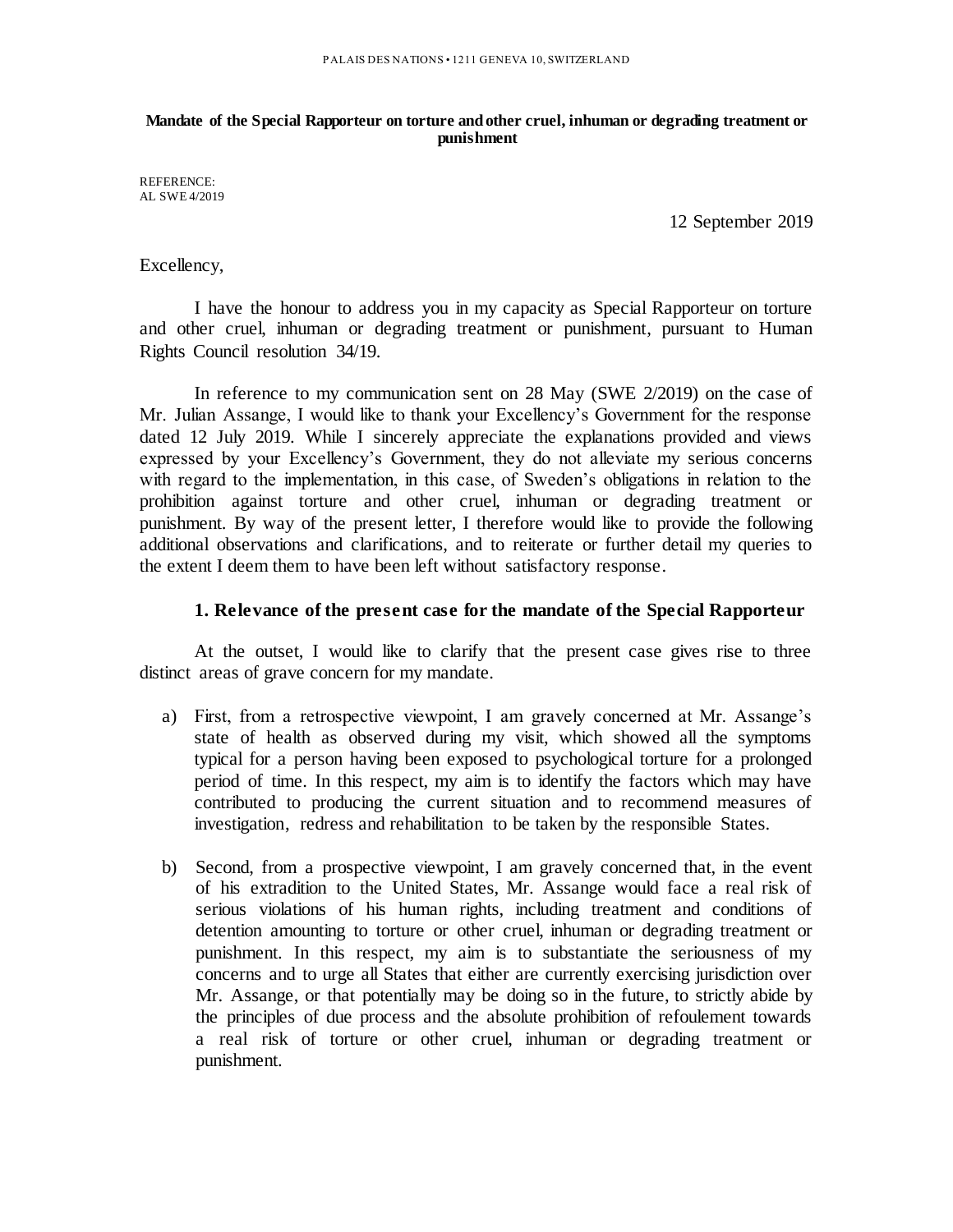#### **Mandate of the Special Rapporteur on torture and other cruel, inhuman or degrading treatment or punishment**

REFERENCE: AL SWE 4/2019

12 September 2019

## Excellency,

I have the honour to address you in my capacity as Special Rapporteur on torture and other cruel, inhuman or degrading treatment or punishment, pursuant to Human Rights Council resolution 34/19.

In reference to my communication sent on 28 May (SWE 2/2019) on the case of Mr. Julian Assange, I would like to thank your Excellency's Government for the response dated 12 July 2019. While I sincerely appreciate the explanations provided and views expressed by your Excellency's Government, they do not alleviate my serious concerns with regard to the implementation, in this case, of Sweden's obligations in relation to the prohibition against torture and other cruel, inhuman or degrading treatment or punishment. By way of the present letter, I therefore would like to provide the following additional observations and clarifications, and to reiterate or further detail my queries to the extent I deem them to have been left without satisfactory response.

### **1. Relevance of the present case for the mandate of the Special Rapporteur**

At the outset, I would like to clarify that the present case gives rise to three distinct areas of grave concern for my mandate.

- a) First, from a retrospective viewpoint, I am gravely concerned at Mr. Assange's state of health as observed during my visit, which showed all the symptoms typical for a person having been exposed to psychological torture for a prolonged period of time. In this respect, my aim is to identify the factors which may have contributed to producing the current situation and to recommend measures of investigation, redress and rehabilitation to be taken by the responsible States.
- b) Second, from a prospective viewpoint, I am gravely concerned that, in the event of his extradition to the United States, Mr. Assange would face a real risk of serious violations of his human rights, including treatment and conditions of detention amounting to torture or other cruel, inhuman or degrading treatment or punishment. In this respect, my aim is to substantiate the seriousness of my concerns and to urge all States that either are currently exercising jurisdiction over Mr. Assange, or that potentially may be doing so in the future, to strictly abide by the principles of due process and the absolute prohibition of refoulement towards a real risk of torture or other cruel, inhuman or degrading treatment or punishment.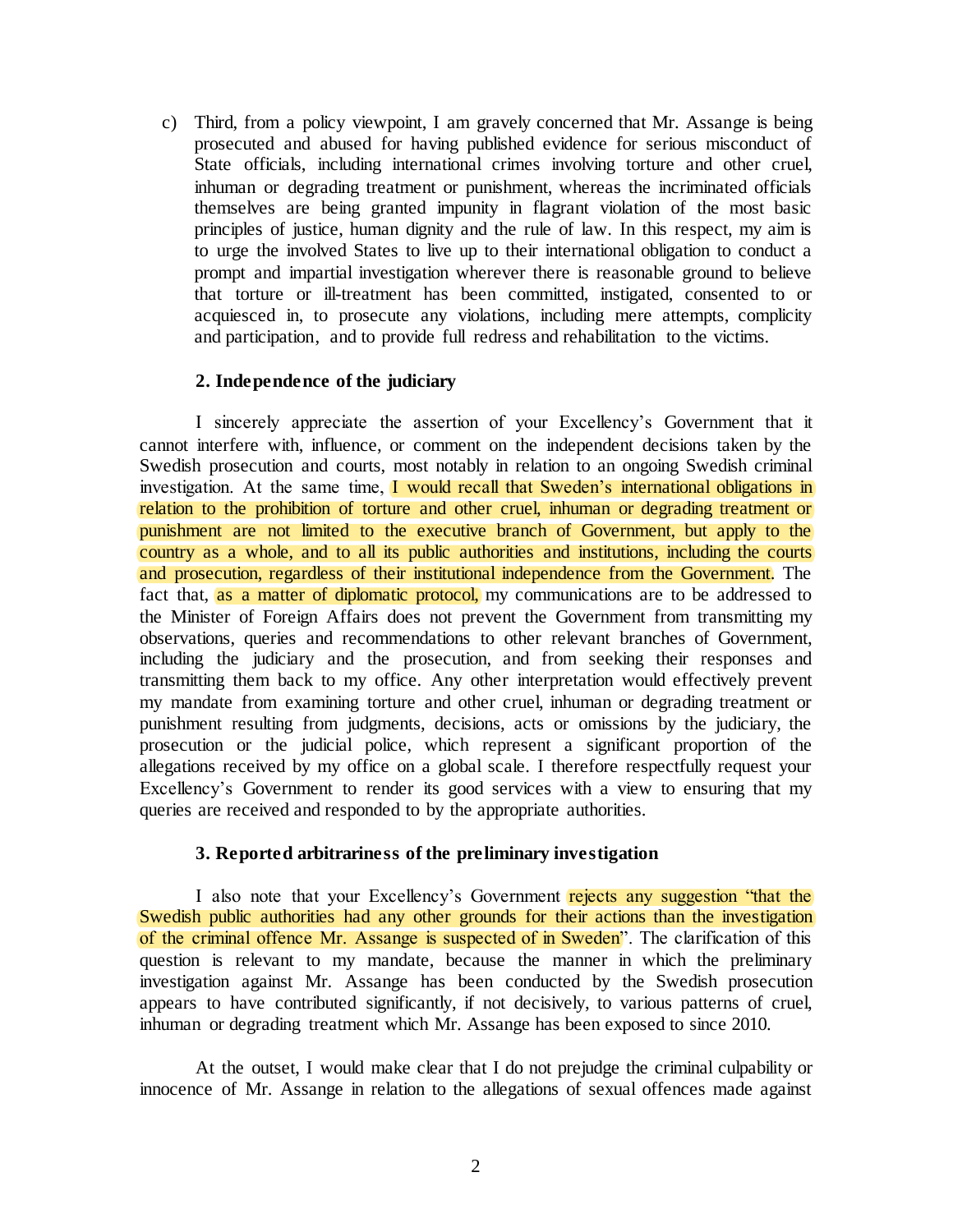c) Third, from a policy viewpoint, I am gravely concerned that Mr. Assange is being prosecuted and abused for having published evidence for serious misconduct of State officials, including international crimes involving torture and other cruel, inhuman or degrading treatment or punishment, whereas the incriminated officials themselves are being granted impunity in flagrant violation of the most basic principles of justice, human dignity and the rule of law. In this respect, my aim is to urge the involved States to live up to their international obligation to conduct a prompt and impartial investigation wherever there is reasonable ground to believe that torture or ill-treatment has been committed, instigated, consented to or acquiesced in, to prosecute any violations, including mere attempts, complicity and participation, and to provide full redress and rehabilitation to the victims.

### **2. Independence of the judiciary**

I sincerely appreciate the assertion of your Excellency's Government that it cannot interfere with, influence, or comment on the independent decisions taken by the Swedish prosecution and courts, most notably in relation to an ongoing Swedish criminal investigation. At the same time, I would recall that Sweden's international obligations in relation to the prohibition of torture and other cruel, inhuman or degrading treatment or punishment are not limited to the executive branch of Government, but apply to the country as a whole, and to all its public authorities and institutions, including the courts and prosecution, regardless of their institutional independence from the Government. The fact that, as a matter of diplomatic protocol, my communications are to be addressed to the Minister of Foreign Affairs does not prevent the Government from transmitting my observations, queries and recommendations to other relevant branches of Government, including the judiciary and the prosecution, and from seeking their responses and transmitting them back to my office. Any other interpretation would effectively prevent my mandate from examining torture and other cruel, inhuman or degrading treatment or punishment resulting from judgments, decisions, acts or omissions by the judiciary, the prosecution or the judicial police, which represent a significant proportion of the allegations received by my office on a global scale. I therefore respectfully request your Excellency's Government to render its good services with a view to ensuring that my queries are received and responded to by the appropriate authorities.

### **3. Reported arbitrariness of the preliminary investigation**

I also note that your Excellency's Government rejects any suggestion "that the Swedish public authorities had any other grounds for their actions than the investigation of the criminal offence Mr. Assange is suspected of in Sweden". The clarification of this question is relevant to my mandate, because the manner in which the preliminary investigation against Mr. Assange has been conducted by the Swedish prosecution appears to have contributed significantly, if not decisively, to various patterns of cruel, inhuman or degrading treatment which Mr. Assange has been exposed to since 2010.

At the outset, I would make clear that I do not prejudge the criminal culpability or innocence of Mr. Assange in relation to the allegations of sexual offences made against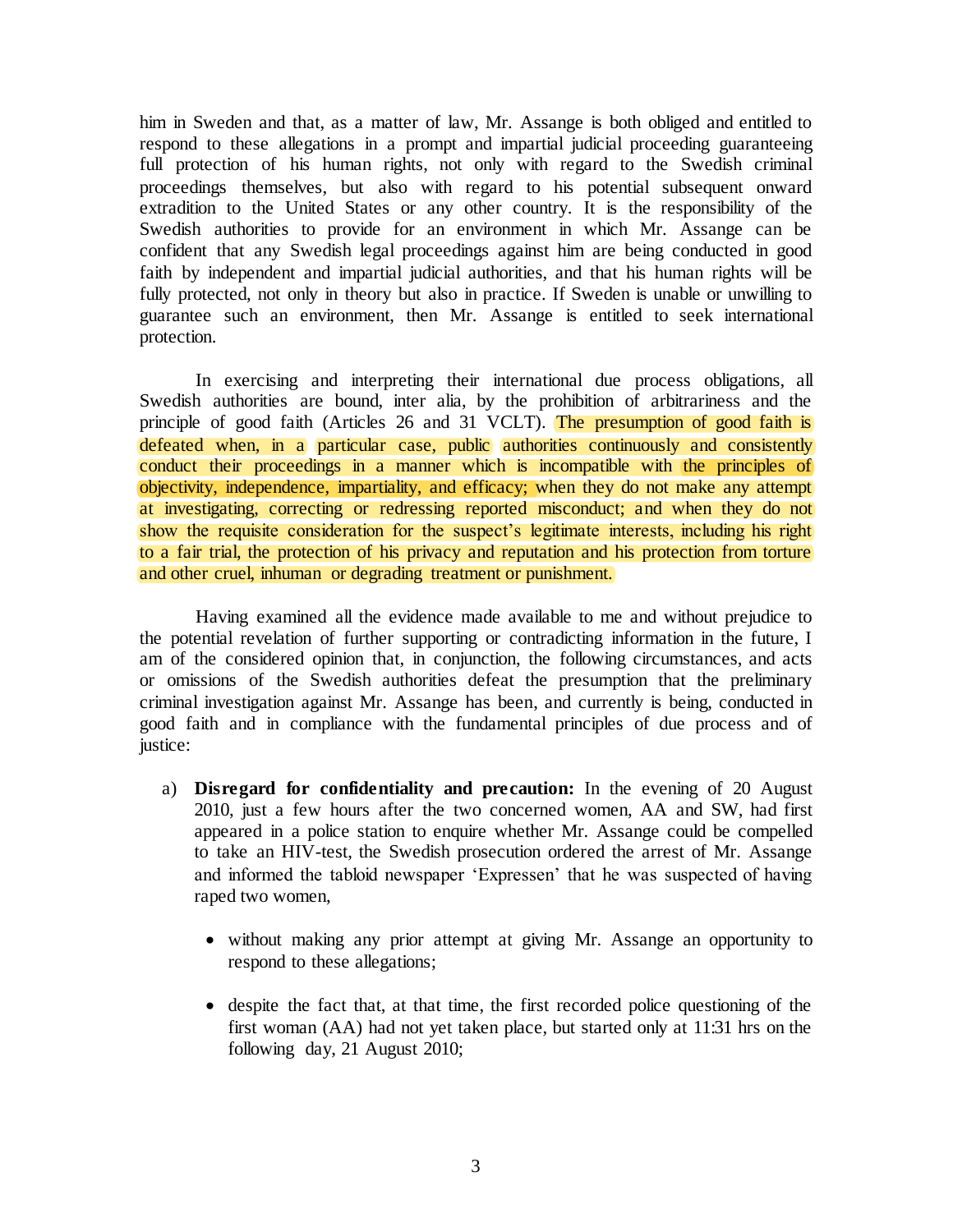him in Sweden and that, as a matter of law, Mr. Assange is both obliged and entitled to respond to these allegations in a prompt and impartial judicial proceeding guaranteeing full protection of his human rights, not only with regard to the Swedish criminal proceedings themselves, but also with regard to his potential subsequent onward extradition to the United States or any other country. It is the responsibility of the Swedish authorities to provide for an environment in which Mr. Assange can be confident that any Swedish legal proceedings against him are being conducted in good faith by independent and impartial judicial authorities, and that his human rights will be fully protected, not only in theory but also in practice. If Sweden is unable or unwilling to guarantee such an environment, then Mr. Assange is entitled to seek international protection.

In exercising and interpreting their international due process obligations, all Swedish authorities are bound, inter alia, by the prohibition of arbitrariness and the principle of good faith (Articles 26 and 31 VCLT). The presumption of good faith is defeated when, in a particular case, public authorities continuously and consistently conduct their proceedings in a manner which is incompatible with the principles of objectivity, independence, impartiality, and efficacy; when they do not make any attempt at investigating, correcting or redressing reported misconduct; and when they do not show the requisite consideration for the suspect's legitimate interests, including his right to a fair trial, the protection of his privacy and reputation and his protection from torture and other cruel, inhuman or degrading treatment or punishment.

Having examined all the evidence made available to me and without prejudice to the potential revelation of further supporting or contradicting information in the future, I am of the considered opinion that, in conjunction, the following circumstances, and acts or omissions of the Swedish authorities defeat the presumption that the preliminary criminal investigation against Mr. Assange has been, and currently is being, conducted in good faith and in compliance with the fundamental principles of due process and of justice:

- a) **Disregard for confidentiality and precaution:** In the evening of 20 August 2010, just a few hours after the two concerned women, AA and SW, had first appeared in a police station to enquire whether Mr. Assange could be compelled to take an HIV-test, the Swedish prosecution ordered the arrest of Mr. Assange and informed the tabloid newspaper 'Expressen' that he was suspected of having raped two women,
	- without making any prior attempt at giving Mr. Assange an opportunity to respond to these allegations;
	- despite the fact that, at that time, the first recorded police questioning of the first woman (AA) had not yet taken place, but started only at 11:31 hrs on the following day, 21 August 2010;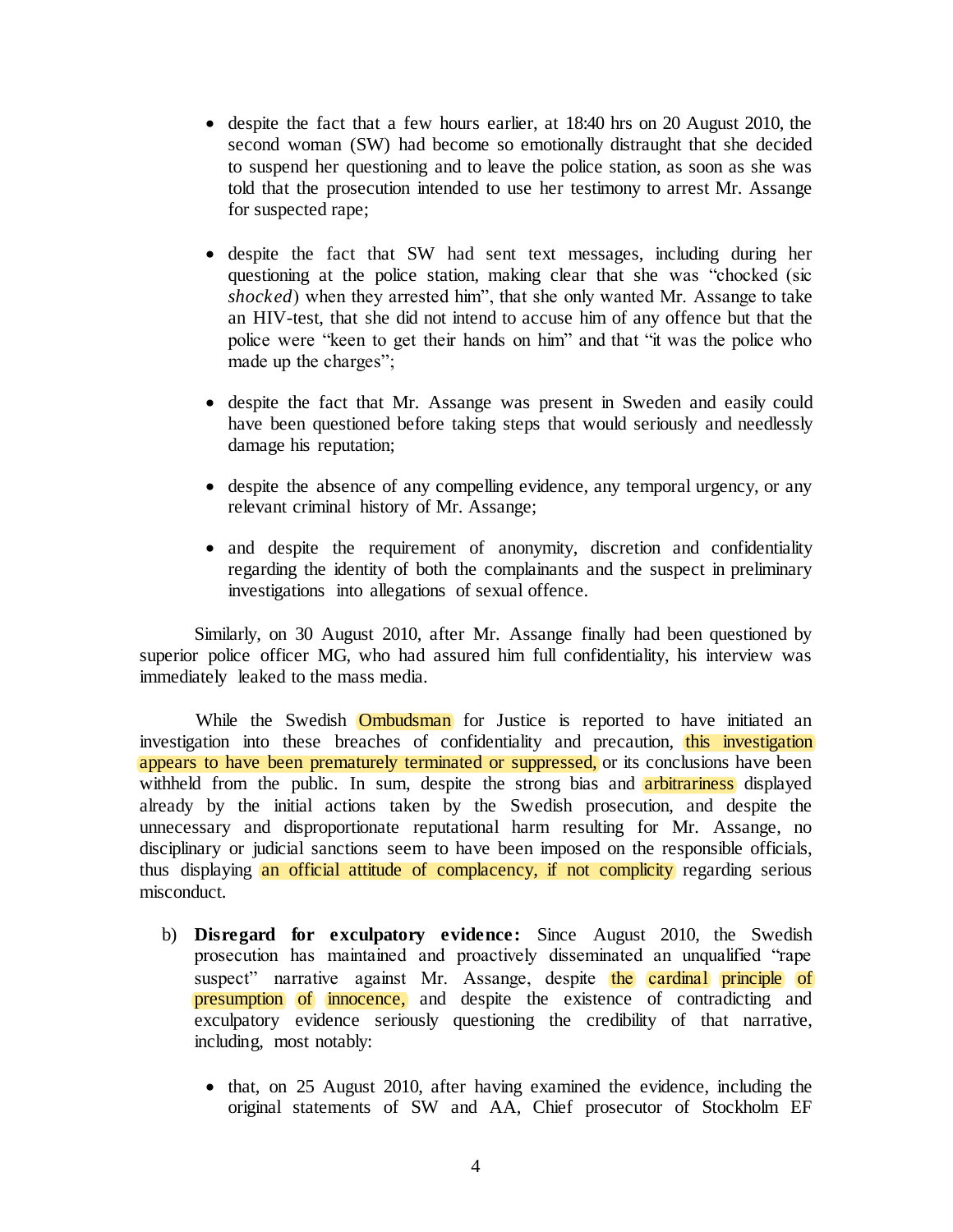- despite the fact that a few hours earlier, at 18:40 hrs on 20 August 2010, the second woman (SW) had become so emotionally distraught that she decided to suspend her questioning and to leave the police station, as soon as she was told that the prosecution intended to use her testimony to arrest Mr. Assange for suspected rape;
- despite the fact that SW had sent text messages, including during her questioning at the police station, making clear that she was "chocked (sic *shocked*) when they arrested him", that she only wanted Mr. Assange to take an HIV-test, that she did not intend to accuse him of any offence but that the police were "keen to get their hands on him" and that "it was the police who made up the charges";
- despite the fact that Mr. Assange was present in Sweden and easily could have been questioned before taking steps that would seriously and needlessly damage his reputation;
- despite the absence of any compelling evidence, any temporal urgency, or any relevant criminal history of Mr. Assange;
- and despite the requirement of anonymity, discretion and confidentiality regarding the identity of both the complainants and the suspect in preliminary investigations into allegations of sexual offence.

Similarly, on 30 August 2010, after Mr. Assange finally had been questioned by superior police officer MG, who had assured him full confidentiality, his interview was immediately leaked to the mass media.

While the Swedish **Ombudsman** for Justice is reported to have initiated an investigation into these breaches of confidentiality and precaution, this investigation appears to have been prematurely terminated or suppressed, or its conclusions have been withheld from the public. In sum, despite the strong bias and **arbitrariness** displayed already by the initial actions taken by the Swedish prosecution, and despite the unnecessary and disproportionate reputational harm resulting for Mr. Assange, no disciplinary or judicial sanctions seem to have been imposed on the responsible officials, thus displaying an official attitude of complacency, if not complicity regarding serious misconduct.

- b) **Disregard for exculpatory evidence:** Since August 2010, the Swedish prosecution has maintained and proactively disseminated an unqualified "rape suspect" narrative against Mr. Assange, despite the cardinal principle of presumption of innocence, and despite the existence of contradicting and exculpatory evidence seriously questioning the credibility of that narrative, including, most notably:
	- that, on 25 August 2010, after having examined the evidence, including the original statements of SW and AA, Chief prosecutor of Stockholm EF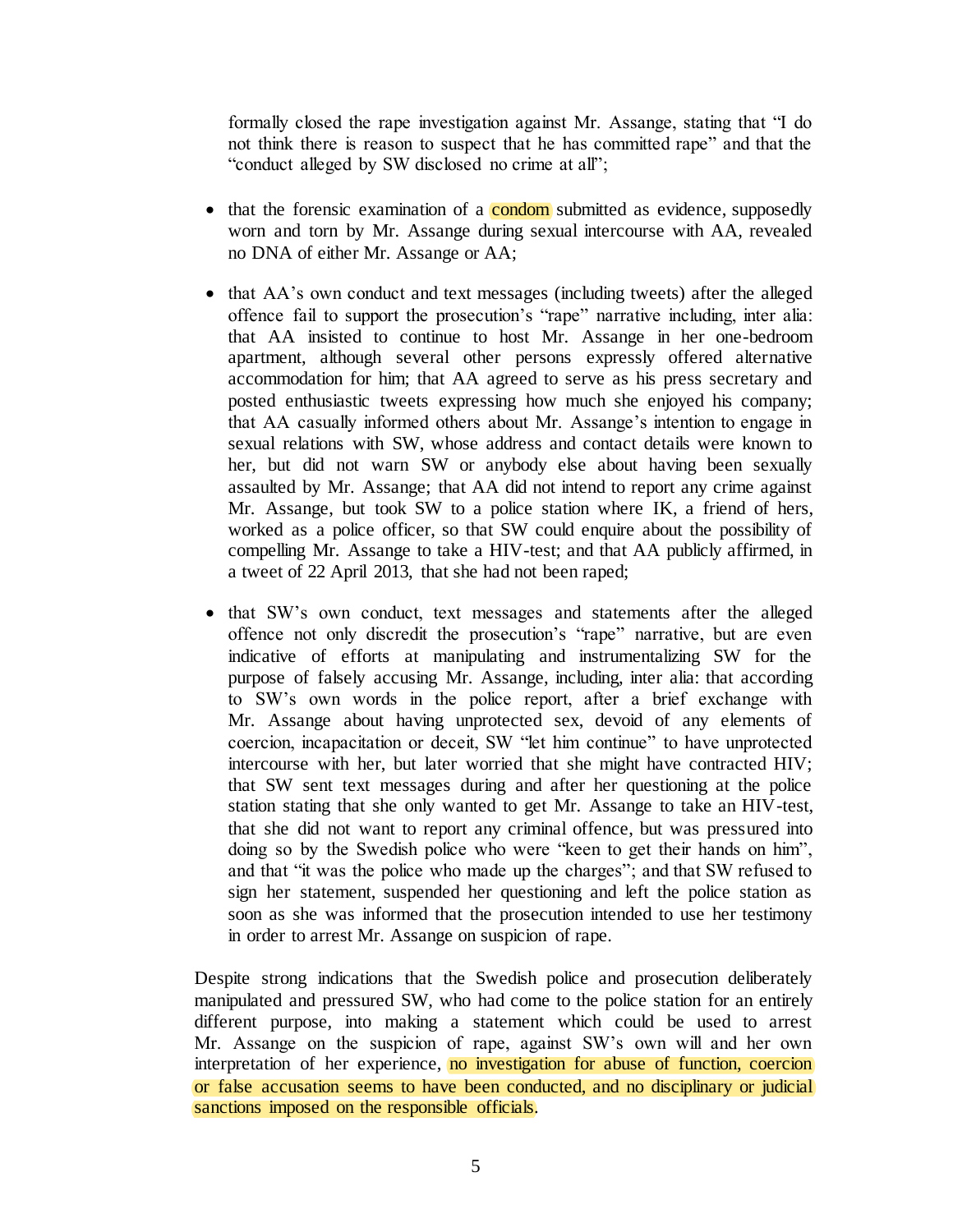formally closed the rape investigation against Mr. Assange, stating that "I do not think there is reason to suspect that he has committed rape" and that the "conduct alleged by SW disclosed no crime at all";

- that the forensic examination of a **condom** submitted as evidence, supposedly worn and torn by Mr. Assange during sexual intercourse with AA, revealed no DNA of either Mr. Assange or AA;
- that AA's own conduct and text messages (including tweets) after the alleged offence fail to support the prosecution's "rape" narrative including, inter alia: that AA insisted to continue to host Mr. Assange in her one-bedroom apartment, although several other persons expressly offered alternative accommodation for him; that AA agreed to serve as his press secretary and posted enthusiastic tweets expressing how much she enjoyed his company; that AA casually informed others about Mr. Assange's intention to engage in sexual relations with SW, whose address and contact details were known to her, but did not warn SW or anybody else about having been sexually assaulted by Mr. Assange; that AA did not intend to report any crime against Mr. Assange, but took SW to a police station where IK, a friend of hers, worked as a police officer, so that SW could enquire about the possibility of compelling Mr. Assange to take a HIV-test; and that AA publicly affirmed, in a tweet of 22 April 2013, that she had not been raped;
- that SW's own conduct, text messages and statements after the alleged offence not only discredit the prosecution's "rape" narrative, but are even indicative of efforts at manipulating and instrumentalizing SW for the purpose of falsely accusing Mr. Assange, including, inter alia: that according to SW's own words in the police report, after a brief exchange with Mr. Assange about having unprotected sex, devoid of any elements of coercion, incapacitation or deceit, SW "let him continue" to have unprotected intercourse with her, but later worried that she might have contracted HIV; that SW sent text messages during and after her questioning at the police station stating that she only wanted to get Mr. Assange to take an HIV-test, that she did not want to report any criminal offence, but was pressured into doing so by the Swedish police who were "keen to get their hands on him", and that "it was the police who made up the charges"; and that SW refused to sign her statement, suspended her questioning and left the police station as soon as she was informed that the prosecution intended to use her testimony in order to arrest Mr. Assange on suspicion of rape.

Despite strong indications that the Swedish police and prosecution deliberately manipulated and pressured SW, who had come to the police station for an entirely different purpose, into making a statement which could be used to arrest Mr. Assange on the suspicion of rape, against SW's own will and her own interpretation of her experience, no investigation for abuse of function, coercion or false accusation seems to have been conducted, and no disciplinary or judicial sanctions imposed on the responsible officials.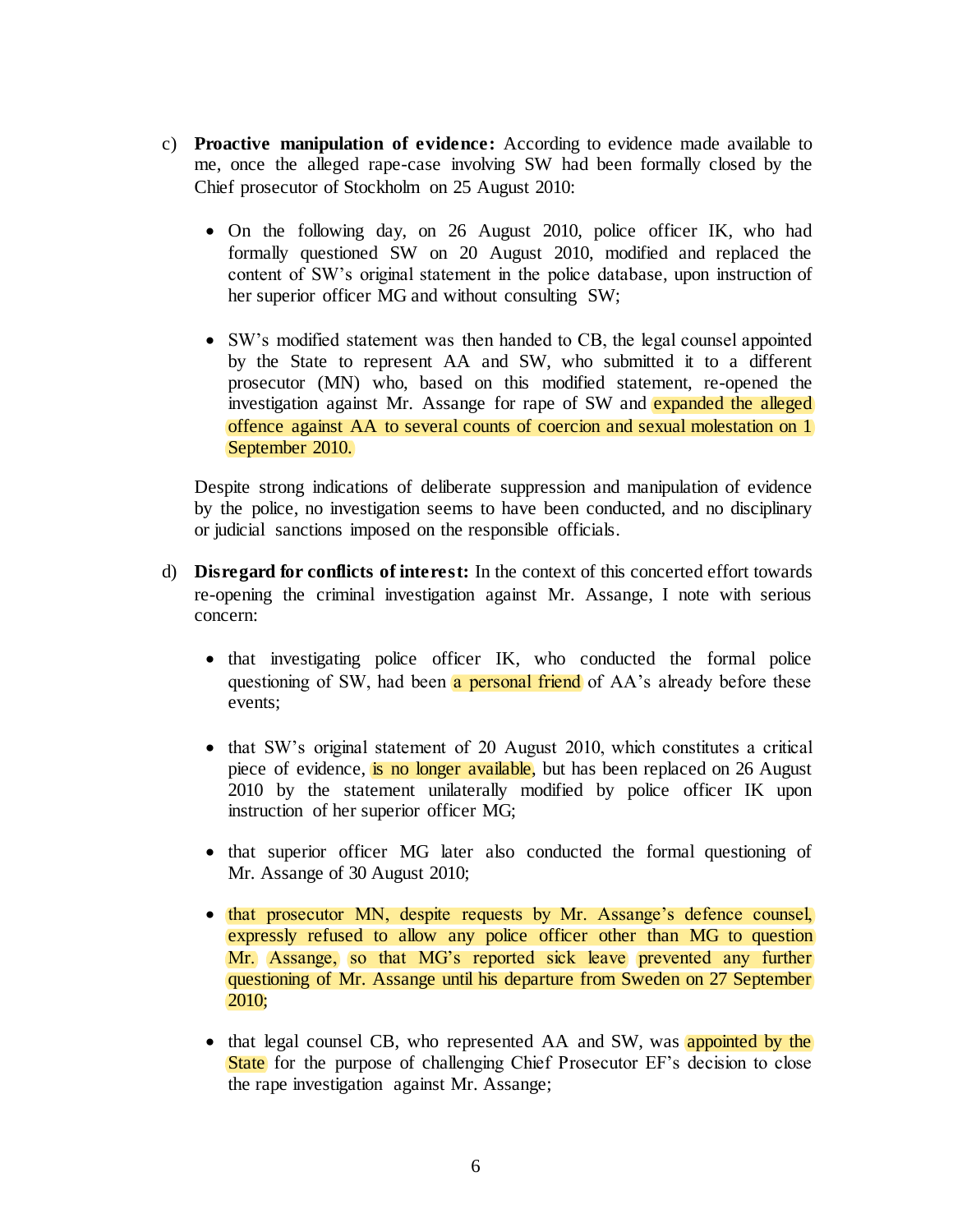- c) **Proactive manipulation of evidence:** According to evidence made available to me, once the alleged rape-case involving SW had been formally closed by the Chief prosecutor of Stockholm on 25 August 2010:
	- On the following day, on 26 August 2010, police officer IK, who had formally questioned SW on 20 August 2010, modified and replaced the content of SW's original statement in the police database, upon instruction of her superior officer MG and without consulting SW;
	- SW's modified statement was then handed to CB, the legal counsel appointed by the State to represent AA and SW, who submitted it to a different prosecutor (MN) who, based on this modified statement, re-opened the investigation against Mr. Assange for rape of SW and expanded the alleged offence against AA to several counts of coercion and sexual molestation on 1 September 2010.

Despite strong indications of deliberate suppression and manipulation of evidence by the police, no investigation seems to have been conducted, and no disciplinary or judicial sanctions imposed on the responsible officials.

- d) **Disregard for conflicts of interest:** In the context of this concerted effort towards re-opening the criminal investigation against Mr. Assange, I note with serious concern:
	- that investigating police officer IK, who conducted the formal police questioning of SW, had been a personal friend of AA's already before these events;
	- that SW's original statement of 20 August 2010, which constitutes a critical piece of evidence, is no longer available, but has been replaced on 26 August 2010 by the statement unilaterally modified by police officer IK upon instruction of her superior officer MG;
	- that superior officer MG later also conducted the formal questioning of Mr. Assange of 30 August 2010;
	- that prosecutor MN, despite requests by Mr. Assange's defence counsel, expressly refused to allow any police officer other than MG to question Mr. Assange, so that MG's reported sick leave prevented any further questioning of Mr. Assange until his departure from Sweden on 27 September 2010;
	- that legal counsel CB, who represented AA and SW, was appointed by the State for the purpose of challenging Chief Prosecutor EF's decision to close the rape investigation against Mr. Assange;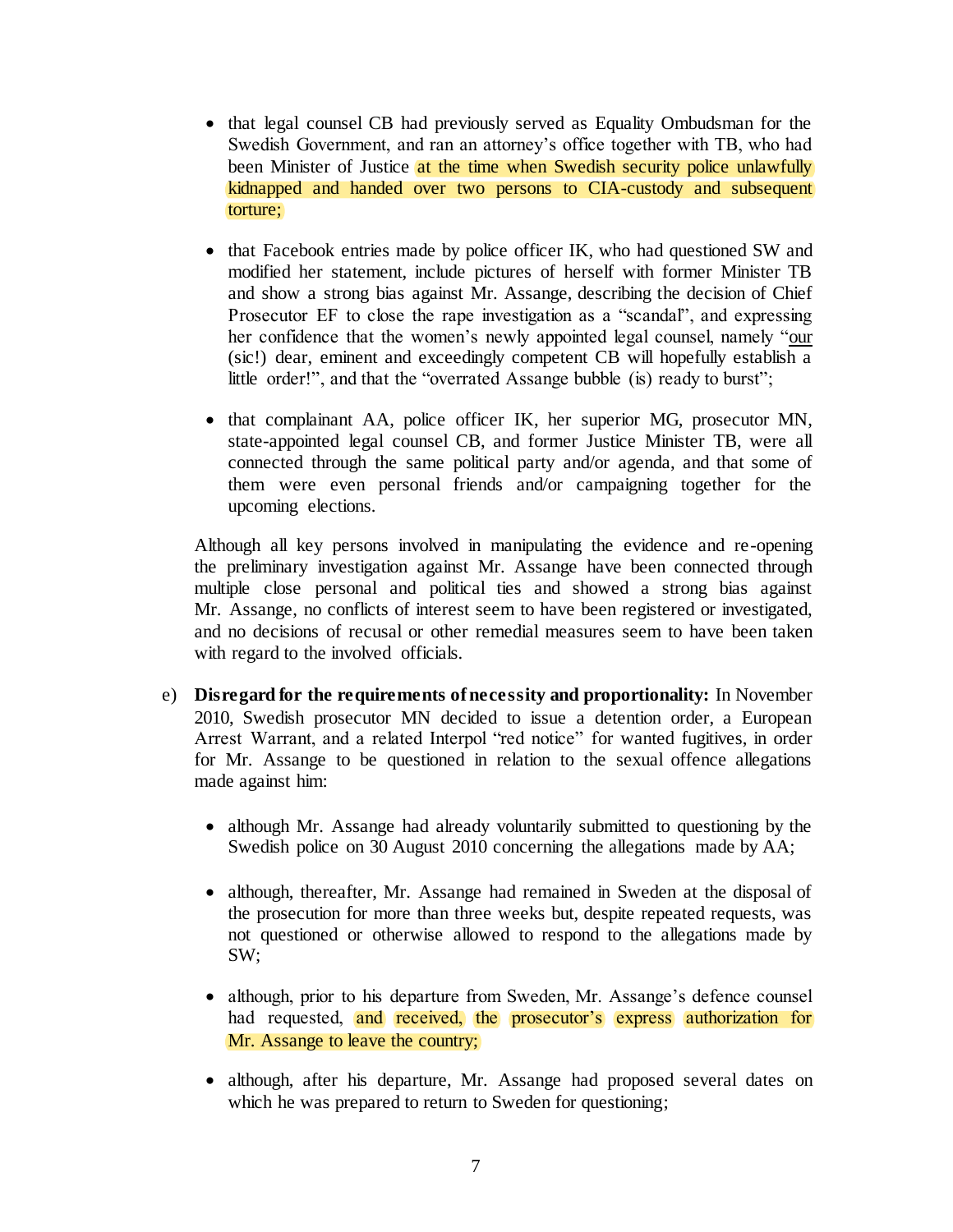- that legal counsel CB had previously served as Equality Ombudsman for the Swedish Government, and ran an attorney's office together with TB, who had been Minister of Justice at the time when Swedish security police unlawfully kidnapped and handed over two persons to CIA-custody and subsequent torture;
- that Facebook entries made by police officer IK, who had questioned SW and modified her statement, include pictures of herself with former Minister TB and show a strong bias against Mr. Assange, describing the decision of Chief Prosecutor EF to close the rape investigation as a "scandal", and expressing her confidence that the women's newly appointed legal counsel, namely "our (sic!) dear, eminent and exceedingly competent CB will hopefully establish a little order!", and that the "overrated Assange bubble (is) ready to burst";
- that complainant AA, police officer IK, her superior MG, prosecutor MN, state-appointed legal counsel CB, and former Justice Minister TB, were all connected through the same political party and/or agenda, and that some of them were even personal friends and/or campaigning together for the upcoming elections.

Although all key persons involved in manipulating the evidence and re-opening the preliminary investigation against Mr. Assange have been connected through multiple close personal and political ties and showed a strong bias against Mr. Assange, no conflicts of interest seem to have been registered or investigated, and no decisions of recusal or other remedial measures seem to have been taken with regard to the involved officials.

- e) **Disregard for the requirements of necessity and proportionality:** In November 2010, Swedish prosecutor MN decided to issue a detention order, a European Arrest Warrant, and a related Interpol "red notice" for wanted fugitives, in order for Mr. Assange to be questioned in relation to the sexual offence allegations made against him:
	- although Mr. Assange had already voluntarily submitted to questioning by the Swedish police on 30 August 2010 concerning the allegations made by AA;
	- although, thereafter, Mr. Assange had remained in Sweden at the disposal of the prosecution for more than three weeks but, despite repeated requests, was not questioned or otherwise allowed to respond to the allegations made by SW;
	- although, prior to his departure from Sweden, Mr. Assange's defence counsel had requested, and received, the prosecutor's express authorization for Mr. Assange to leave the country;
	- although, after his departure, Mr. Assange had proposed several dates on which he was prepared to return to Sweden for questioning;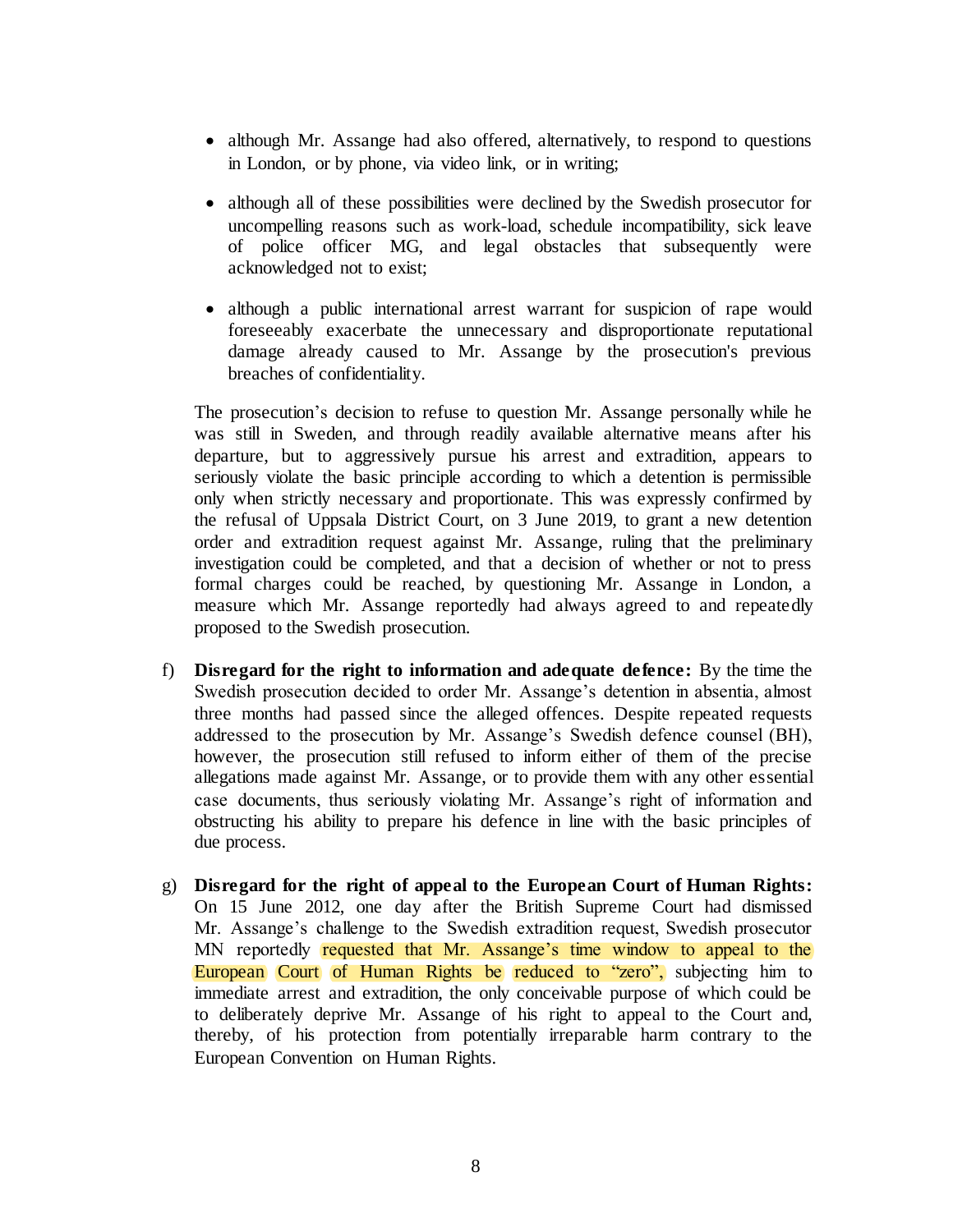- although Mr. Assange had also offered, alternatively, to respond to questions in London, or by phone, via video link, or in writing;
- although all of these possibilities were declined by the Swedish prosecutor for uncompelling reasons such as work-load, schedule incompatibility, sick leave of police officer MG, and legal obstacles that subsequently were acknowledged not to exist;
- although a public international arrest warrant for suspicion of rape would foreseeably exacerbate the unnecessary and disproportionate reputational damage already caused to Mr. Assange by the prosecution's previous breaches of confidentiality.

The prosecution's decision to refuse to question Mr. Assange personally while he was still in Sweden, and through readily available alternative means after his departure, but to aggressively pursue his arrest and extradition, appears to seriously violate the basic principle according to which a detention is permissible only when strictly necessary and proportionate. This was expressly confirmed by the refusal of Uppsala District Court, on 3 June 2019, to grant a new detention order and extradition request against Mr. Assange, ruling that the preliminary investigation could be completed, and that a decision of whether or not to press formal charges could be reached, by questioning Mr. Assange in London, a measure which Mr. Assange reportedly had always agreed to and repeatedly proposed to the Swedish prosecution.

- f) **Disregard for the right to information and adequate defence:** By the time the Swedish prosecution decided to order Mr. Assange's detention in absentia, almost three months had passed since the alleged offences. Despite repeated requests addressed to the prosecution by Mr. Assange's Swedish defence counsel (BH), however, the prosecution still refused to inform either of them of the precise allegations made against Mr. Assange, or to provide them with any other essential case documents, thus seriously violating Mr. Assange's right of information and obstructing his ability to prepare his defence in line with the basic principles of due process.
- g) **Disregard for the right of appeal to the European Court of Human Rights:**  On 15 June 2012, one day after the British Supreme Court had dismissed Mr. Assange's challenge to the Swedish extradition request, Swedish prosecutor MN reportedly requested that Mr. Assange's time window to appeal to the European Court of Human Rights be reduced to "zero", subjecting him to immediate arrest and extradition, the only conceivable purpose of which could be to deliberately deprive Mr. Assange of his right to appeal to the Court and, thereby, of his protection from potentially irreparable harm contrary to the European Convention on Human Rights.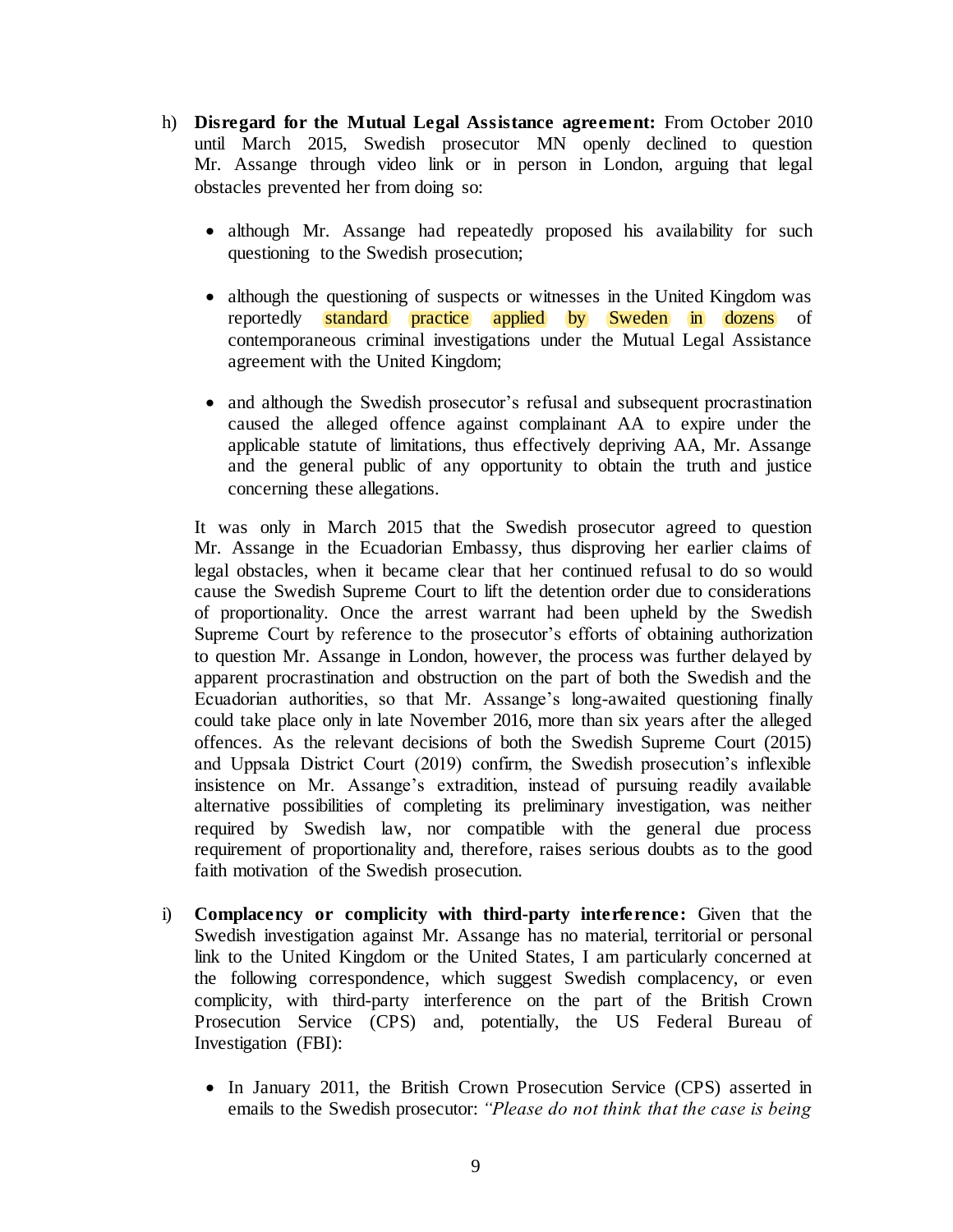- h) **Disregard for the Mutual Legal Assistance agreement:** From October 2010 until March 2015, Swedish prosecutor MN openly declined to question Mr. Assange through video link or in person in London, arguing that legal obstacles prevented her from doing so:
	- although Mr. Assange had repeatedly proposed his availability for such questioning to the Swedish prosecution;
	- although the questioning of suspects or witnesses in the United Kingdom was reportedly standard practice applied by Sweden in dozens of contemporaneous criminal investigations under the Mutual Legal Assistance agreement with the United Kingdom;
	- and although the Swedish prosecutor's refusal and subsequent procrastination caused the alleged offence against complainant AA to expire under the applicable statute of limitations, thus effectively depriving AA, Mr. Assange and the general public of any opportunity to obtain the truth and justice concerning these allegations.

It was only in March 2015 that the Swedish prosecutor agreed to question Mr. Assange in the Ecuadorian Embassy, thus disproving her earlier claims of legal obstacles, when it became clear that her continued refusal to do so would cause the Swedish Supreme Court to lift the detention order due to considerations of proportionality. Once the arrest warrant had been upheld by the Swedish Supreme Court by reference to the prosecutor's efforts of obtaining authorization to question Mr. Assange in London, however, the process was further delayed by apparent procrastination and obstruction on the part of both the Swedish and the Ecuadorian authorities, so that Mr. Assange's long-awaited questioning finally could take place only in late November 2016, more than six years after the alleged offences. As the relevant decisions of both the Swedish Supreme Court (2015) and Uppsala District Court (2019) confirm, the Swedish prosecution's inflexible insistence on Mr. Assange's extradition, instead of pursuing readily available alternative possibilities of completing its preliminary investigation, was neither required by Swedish law, nor compatible with the general due process requirement of proportionality and, therefore, raises serious doubts as to the good faith motivation of the Swedish prosecution.

- i) **Complacency or complicity with third-party interference:** Given that the Swedish investigation against Mr. Assange has no material, territorial or personal link to the United Kingdom or the United States, I am particularly concerned at the following correspondence, which suggest Swedish complacency, or even complicity, with third-party interference on the part of the British Crown Prosecution Service (CPS) and, potentially, the US Federal Bureau of Investigation (FBI):
	- In January 2011, the British Crown Prosecution Service (CPS) asserted in emails to the Swedish prosecutor: *"Please do not think that the case is being*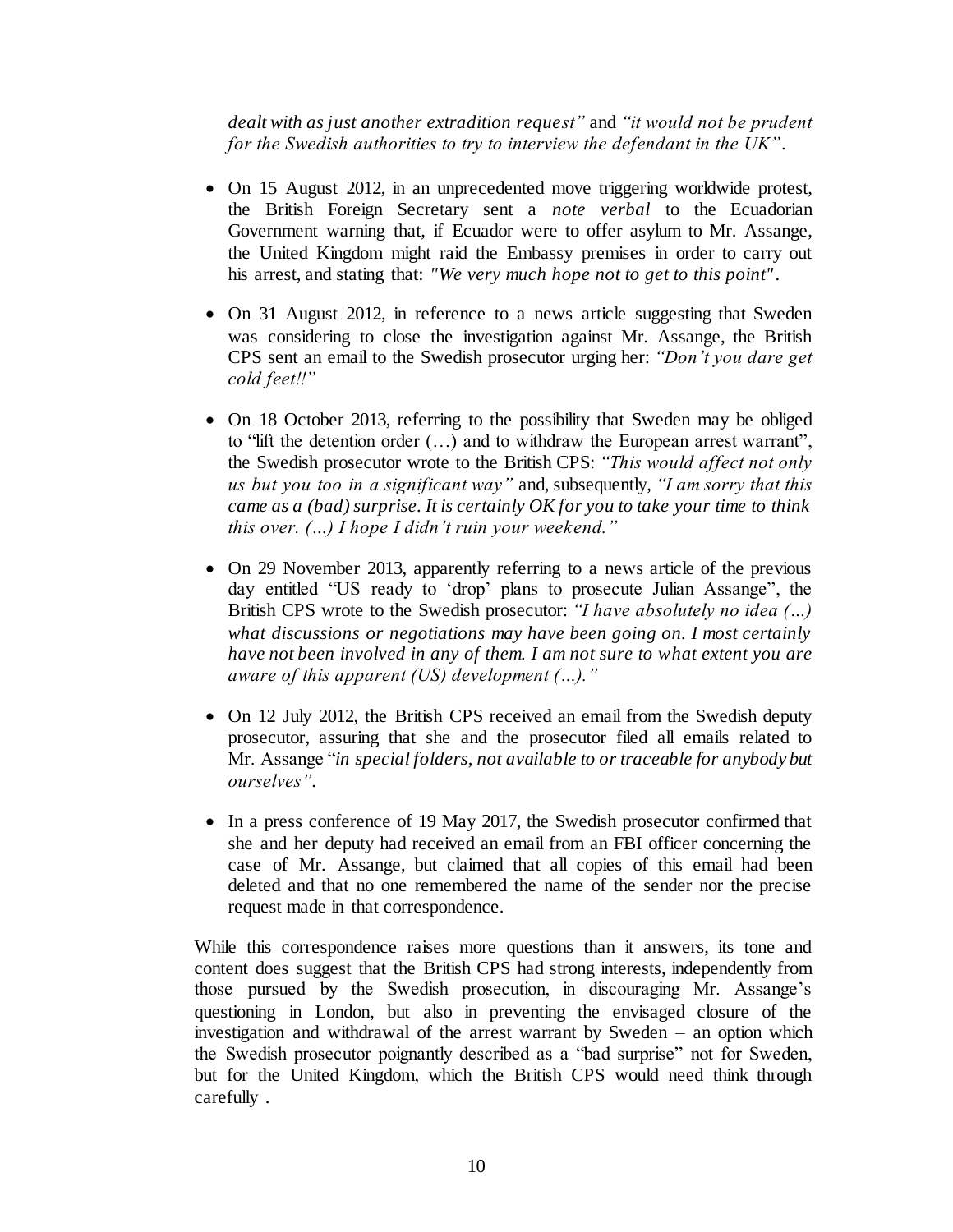*dealt with as just another extradition request"* and *"it would not be prudent for the Swedish authorities to try to interview the defendant in the UK"*.

- On 15 August 2012, in an unprecedented move triggering worldwide protest, the British Foreign Secretary sent a *note verbal* to the Ecuadorian Government warning that, if Ecuador were to offer asylum to Mr. Assange, the United Kingdom might raid the Embassy premises in order to carry out his arrest, and stating that: *"We very much hope not to get to this point"*.
- On 31 August 2012, in reference to a news article suggesting that Sweden was considering to close the investigation against Mr. Assange, the British CPS sent an email to the Swedish prosecutor urging her: *"Don't you dare get cold feet!!"*
- On 18 October 2013, referring to the possibility that Sweden may be obliged to "lift the detention order  $(...)$  and to withdraw the European arrest warrant", the Swedish prosecutor wrote to the British CPS: *"This would affect not only us but you too in a significant way"* and, subsequently, *"I am sorry that this came as a (bad) surprise. It is certainly OK for you to take your time to think this over. (…) I hope I didn't ruin your weekend."*
- On 29 November 2013, apparently referring to a news article of the previous day entitled "US ready to 'drop' plans to prosecute Julian Assange", the British CPS wrote to the Swedish prosecutor: *"I have absolutely no idea (…) what discussions or negotiations may have been going on. I most certainly have not been involved in any of them. I am not sure to what extent you are aware of this apparent (US) development (…)."*
- On 12 July 2012, the British CPS received an email from the Swedish deputy prosecutor, assuring that she and the prosecutor filed all emails related to Mr. Assange "*in special folders, not available to or traceable for anybody but ourselves"*.
- In a press conference of 19 May 2017, the Swedish prosecutor confirmed that she and her deputy had received an email from an FBI officer concerning the case of Mr. Assange, but claimed that all copies of this email had been deleted and that no one remembered the name of the sender nor the precise request made in that correspondence.

While this correspondence raises more questions than it answers, its tone and content does suggest that the British CPS had strong interests, independently from those pursued by the Swedish prosecution, in discouraging Mr. Assange's questioning in London, but also in preventing the envisaged closure of the investigation and withdrawal of the arrest warrant by Sweden – an option which the Swedish prosecutor poignantly described as a "bad surprise" not for Sweden, but for the United Kingdom, which the British CPS would need think through carefully .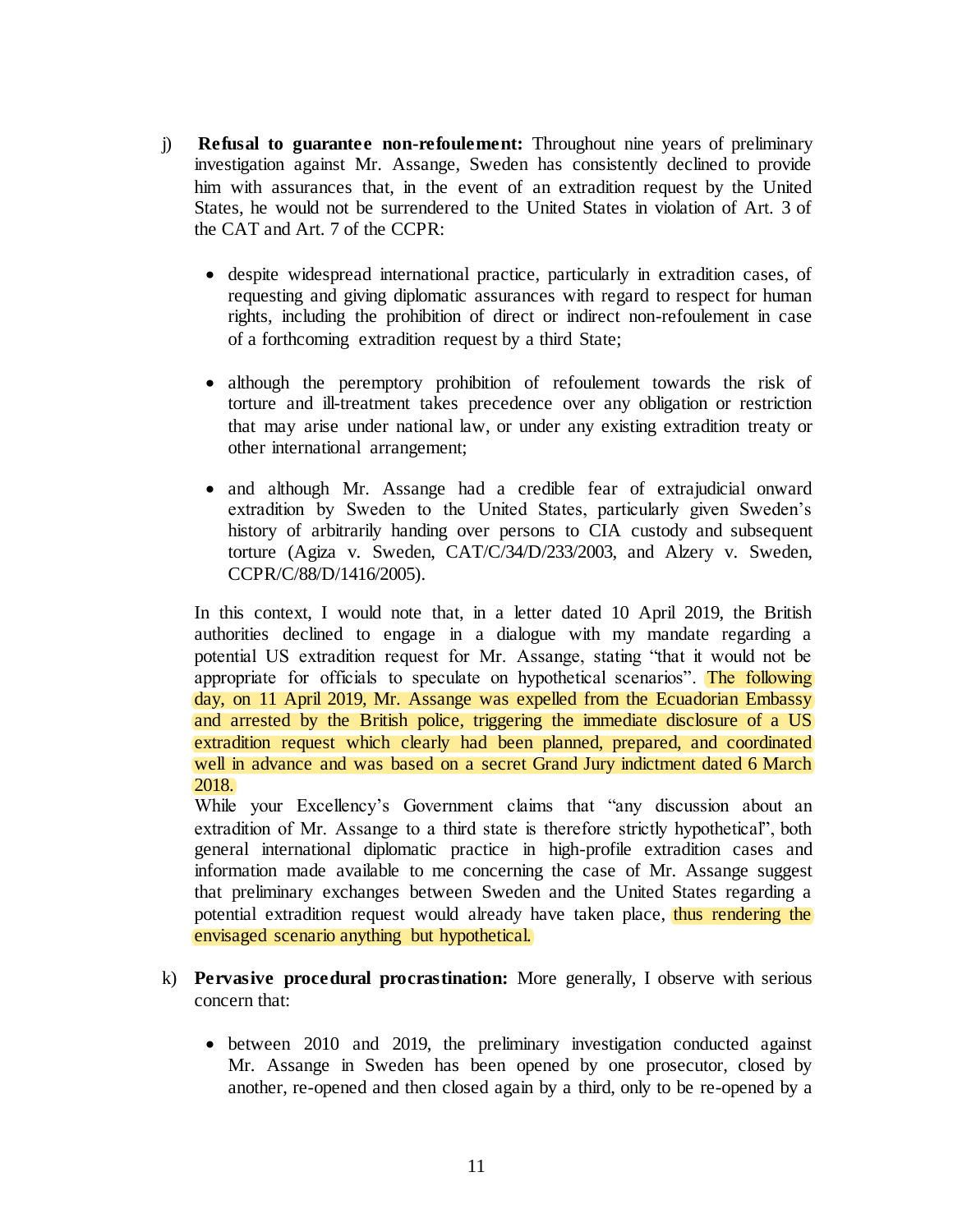- j) **Refusal to guarantee non-refoulement:** Throughout nine years of preliminary investigation against Mr. Assange, Sweden has consistently declined to provide him with assurances that, in the event of an extradition request by the United States, he would not be surrendered to the United States in violation of Art. 3 of the CAT and Art. 7 of the CCPR:
	- despite widespread international practice, particularly in extradition cases, of requesting and giving diplomatic assurances with regard to respect for human rights, including the prohibition of direct or indirect non-refoulement in case of a forthcoming extradition request by a third State;
	- although the peremptory prohibition of refoulement towards the risk of torture and ill-treatment takes precedence over any obligation or restriction that may arise under national law, or under any existing extradition treaty or other international arrangement;
	- and although Mr. Assange had a credible fear of extrajudicial onward extradition by Sweden to the United States, particularly given Sweden's history of arbitrarily handing over persons to CIA custody and subsequent torture (Agiza v. Sweden, CAT/C/34/D/233/2003, and Alzery v. Sweden, CCPR/C/88/D/1416/2005).

In this context, I would note that, in a letter dated 10 April 2019, the British authorities declined to engage in a dialogue with my mandate regarding a potential US extradition request for Mr. Assange, stating "that it would not be appropriate for officials to speculate on hypothetical scenarios". The following day, on 11 April 2019, Mr. Assange was expelled from the Ecuadorian Embassy and arrested by the British police, triggering the immediate disclosure of a US extradition request which clearly had been planned, prepared, and coordinated well in advance and was based on a secret Grand Jury indictment dated 6 March 2018.

While your Excellency's Government claims that "any discussion about an extradition of Mr. Assange to a third state is therefore strictly hypothetical", both general international diplomatic practice in high-profile extradition cases and information made available to me concerning the case of Mr. Assange suggest that preliminary exchanges between Sweden and the United States regarding a potential extradition request would already have taken place, thus rendering the envisaged scenario anything but hypothetical.

- k) **Pervasive procedural procrastination:** More generally, I observe with serious concern that:
	- between 2010 and 2019, the preliminary investigation conducted against Mr. Assange in Sweden has been opened by one prosecutor, closed by another, re-opened and then closed again by a third, only to be re-opened by a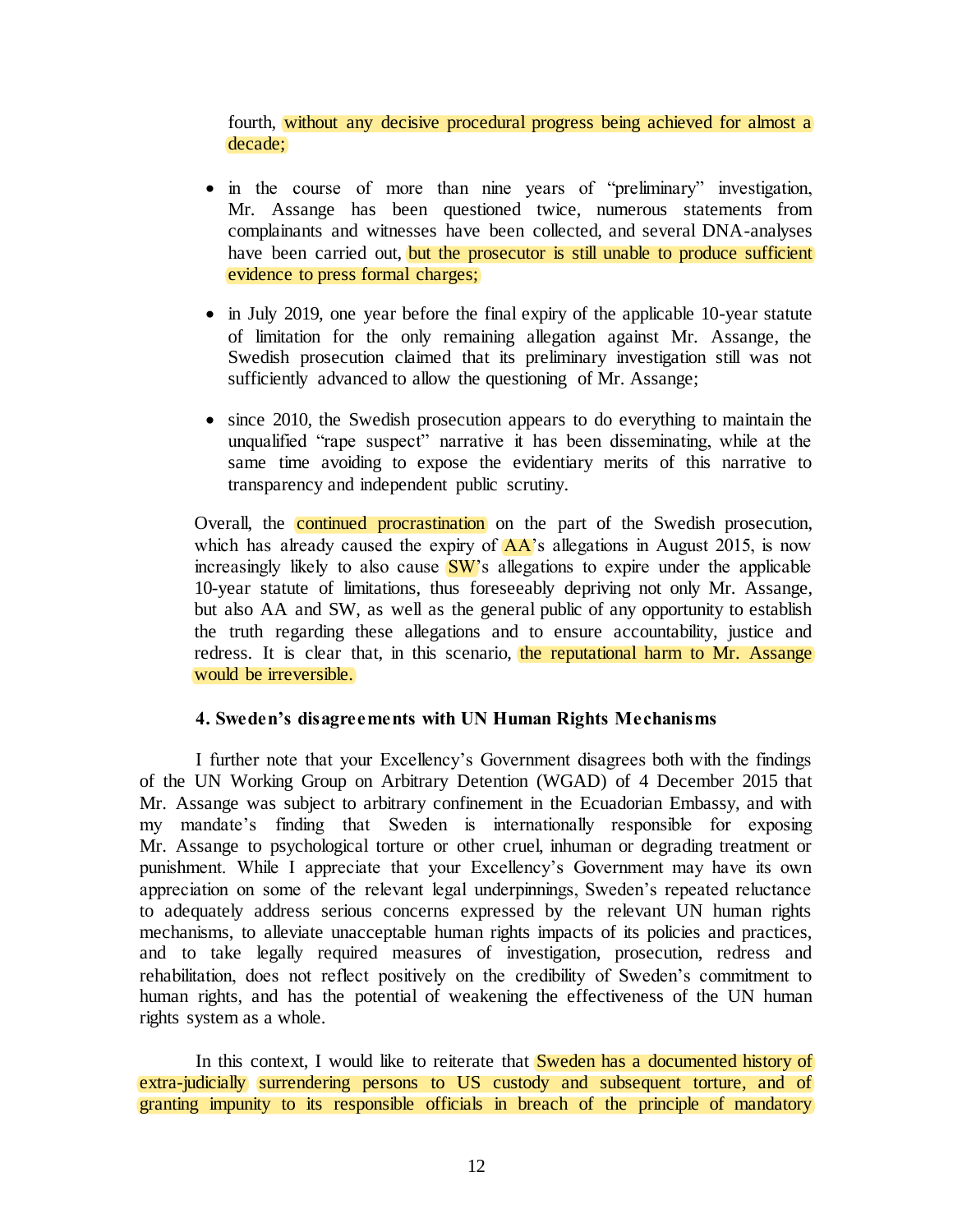fourth, without any decisive procedural progress being achieved for almost a decade;

- in the course of more than nine years of "preliminary" investigation, Mr. Assange has been questioned twice, numerous statements from complainants and witnesses have been collected, and several DNA-analyses have been carried out, but the prosecutor is still unable to produce sufficient evidence to press formal charges;
- in July 2019, one year before the final expiry of the applicable 10-year statute of limitation for the only remaining allegation against Mr. Assange, the Swedish prosecution claimed that its preliminary investigation still was not sufficiently advanced to allow the questioning of Mr. Assange;
- since 2010, the Swedish prosecution appears to do everything to maintain the unqualified "rape suspect" narrative it has been disseminating, while at the same time avoiding to expose the evidentiary merits of this narrative to transparency and independent public scrutiny.

Overall, the continued procrastination on the part of the Swedish prosecution, which has already caused the expiry of  $AA$ 's allegations in August 2015, is now increasingly likely to also cause  $\frac{\partial W}{\partial s}$  allegations to expire under the applicable 10-year statute of limitations, thus foreseeably depriving not only Mr. Assange, but also AA and SW, as well as the general public of any opportunity to establish the truth regarding these allegations and to ensure accountability, justice and redress. It is clear that, in this scenario, the reputational harm to Mr. Assange would be irreversible.

# **4. Sweden's disagreements with UN Human Rights Mechanisms**

I further note that your Excellency's Government disagrees both with the findings of the UN Working Group on Arbitrary Detention (WGAD) of 4 December 2015 that Mr. Assange was subject to arbitrary confinement in the Ecuadorian Embassy, and with my mandate's finding that Sweden is internationally responsible for exposing Mr. Assange to psychological torture or other cruel, inhuman or degrading treatment or punishment. While I appreciate that your Excellency's Government may have its own appreciation on some of the relevant legal underpinnings, Sweden's repeated reluctance to adequately address serious concerns expressed by the relevant UN human rights mechanisms, to alleviate unacceptable human rights impacts of its policies and practices, and to take legally required measures of investigation, prosecution, redress and rehabilitation, does not reflect positively on the credibility of Sweden's commitment to human rights, and has the potential of weakening the effectiveness of the UN human rights system as a whole.

In this context, I would like to reiterate that **Sweden has a documented history of** extra-judicially surrendering persons to US custody and subsequent torture, and of granting impunity to its responsible officials in breach of the principle of mandatory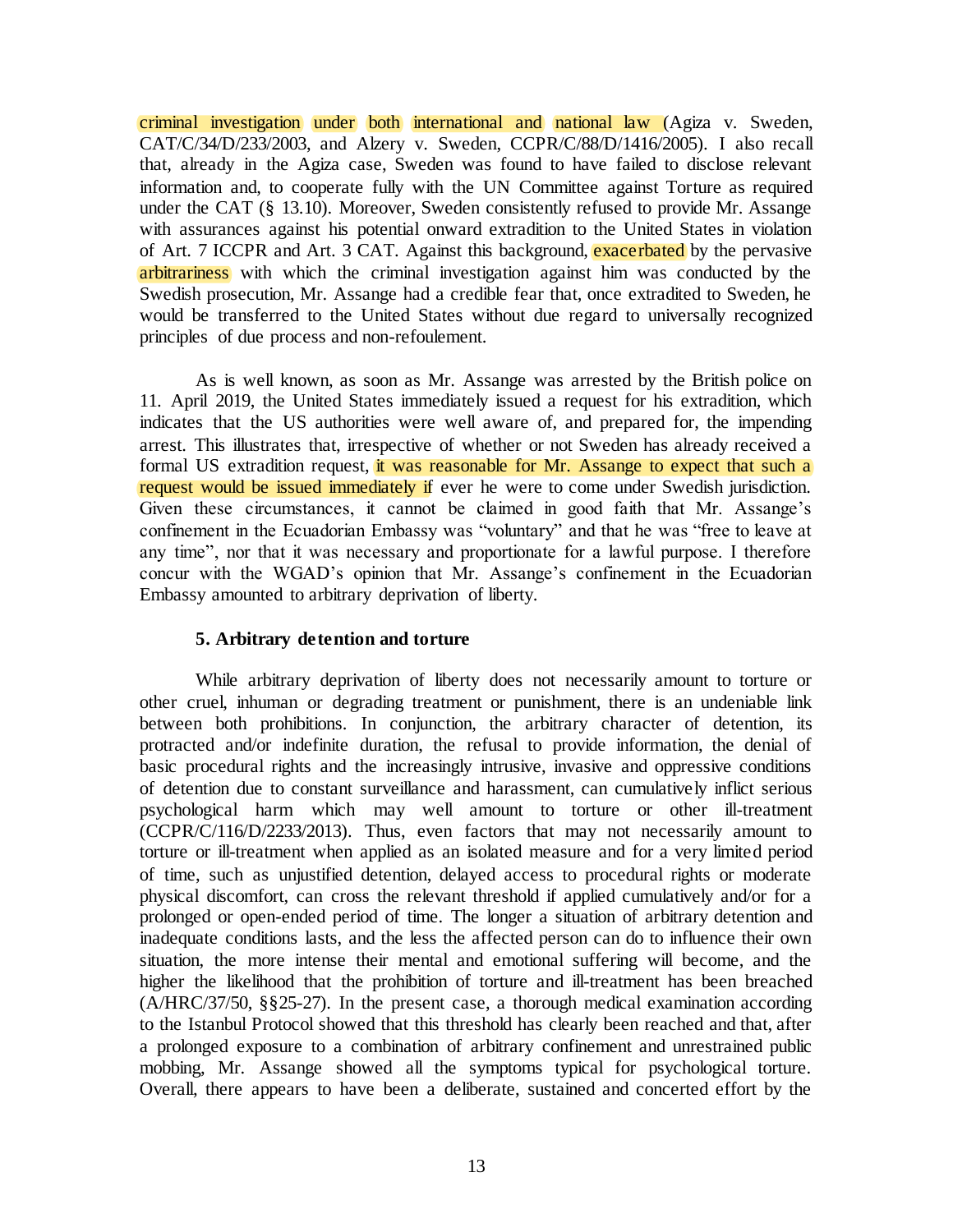criminal investigation under both international and national law (Agiza v. Sweden, CAT/C/34/D/233/2003, and Alzery v. Sweden, CCPR/C/88/D/1416/2005). I also recall that, already in the Agiza case, Sweden was found to have failed to disclose relevant information and, to cooperate fully with the UN Committee against Torture as required under the CAT (§ 13.10). Moreover, Sweden consistently refused to provide Mr. Assange with assurances against his potential onward extradition to the United States in violation of Art. 7 ICCPR and Art. 3 CAT. Against this background, exacerbated by the pervasive arbitrariness with which the criminal investigation against him was conducted by the Swedish prosecution, Mr. Assange had a credible fear that, once extradited to Sweden, he would be transferred to the United States without due regard to universally recognized principles of due process and non-refoulement.

As is well known, as soon as Mr. Assange was arrested by the British police on 11. April 2019, the United States immediately issued a request for his extradition, which indicates that the US authorities were well aware of, and prepared for, the impending arrest. This illustrates that, irrespective of whether or not Sweden has already received a formal US extradition request, it was reasonable for Mr. Assange to expect that such a request would be issued immediately if ever he were to come under Swedish jurisdiction. Given these circumstances, it cannot be claimed in good faith that Mr. Assange's confinement in the Ecuadorian Embassy was "voluntary" and that he was "free to leave at any time", nor that it was necessary and proportionate for a lawful purpose. I therefore concur with the WGAD's opinion that Mr. Assange's confinement in the Ecuadorian Embassy amounted to arbitrary deprivation of liberty.

# **5. Arbitrary detention and torture**

While arbitrary deprivation of liberty does not necessarily amount to torture or other cruel, inhuman or degrading treatment or punishment, there is an undeniable link between both prohibitions. In conjunction, the arbitrary character of detention, its protracted and/or indefinite duration, the refusal to provide information, the denial of basic procedural rights and the increasingly intrusive, invasive and oppressive conditions of detention due to constant surveillance and harassment, can cumulatively inflict serious psychological harm which may well amount to torture or other ill-treatment (CCPR/C/116/D/2233/2013). Thus, even factors that may not necessarily amount to torture or ill-treatment when applied as an isolated measure and for a very limited period of time, such as unjustified detention, delayed access to procedural rights or moderate physical discomfort, can cross the relevant threshold if applied cumulatively and/or for a prolonged or open-ended period of time. The longer a situation of arbitrary detention and inadequate conditions lasts, and the less the affected person can do to influence their own situation, the more intense their mental and emotional suffering will become, and the higher the likelihood that the prohibition of torture and ill-treatment has been breached (A/HRC/37/50, §§25-27). In the present case, a thorough medical examination according to the Istanbul Protocol showed that this threshold has clearly been reached and that, after a prolonged exposure to a combination of arbitrary confinement and unrestrained public mobbing, Mr. Assange showed all the symptoms typical for psychological torture. Overall, there appears to have been a deliberate, sustained and concerted effort by the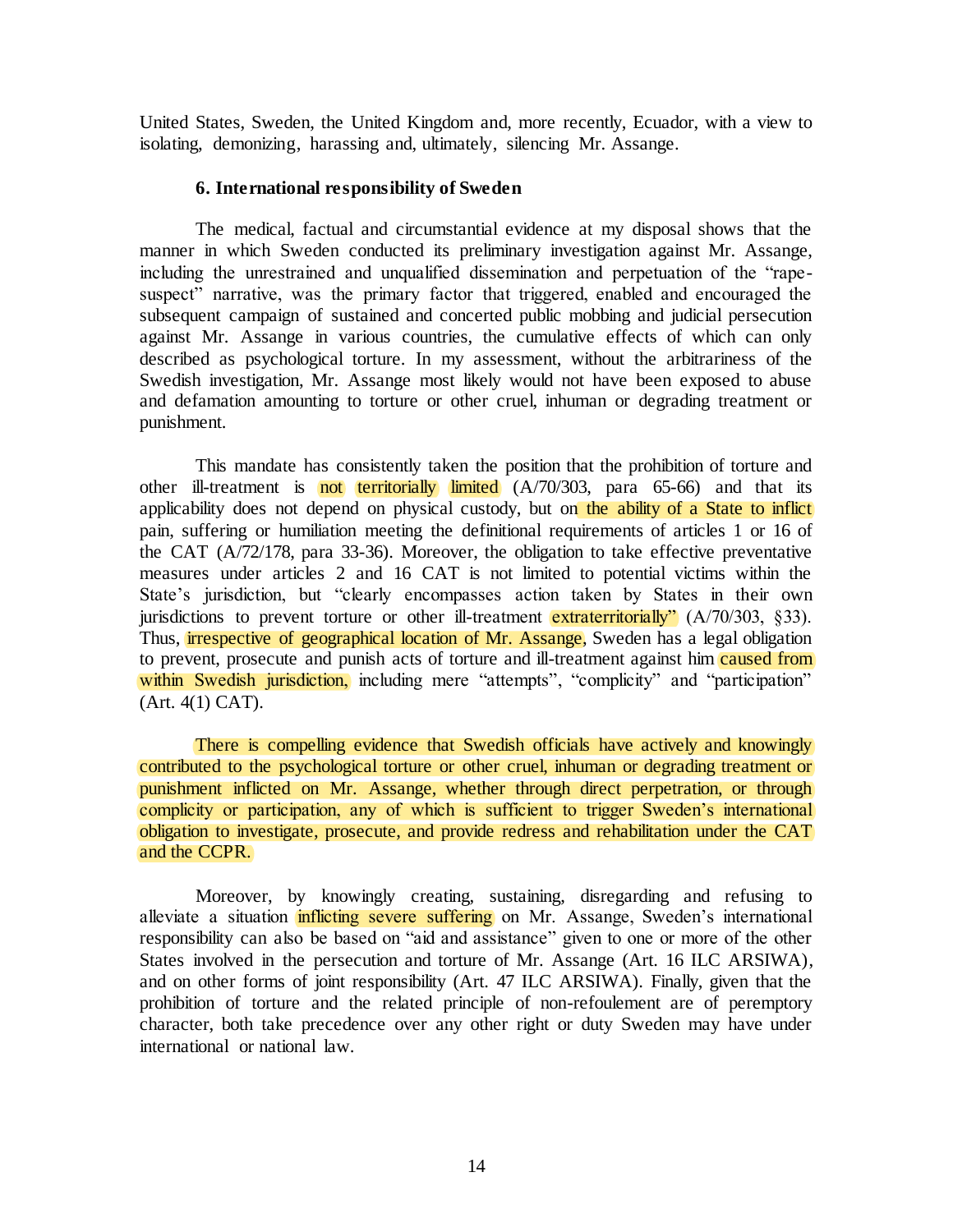United States, Sweden, the United Kingdom and, more recently, Ecuador, with a view to isolating, demonizing, harassing and, ultimately, silencing Mr. Assange.

## **6. International responsibility of Sweden**

The medical, factual and circumstantial evidence at my disposal shows that the manner in which Sweden conducted its preliminary investigation against Mr. Assange, including the unrestrained and unqualified dissemination and perpetuation of the "rapesuspect" narrative, was the primary factor that triggered, enabled and encouraged the subsequent campaign of sustained and concerted public mobbing and judicial persecution against Mr. Assange in various countries, the cumulative effects of which can only described as psychological torture. In my assessment, without the arbitrariness of the Swedish investigation, Mr. Assange most likely would not have been exposed to abuse and defamation amounting to torture or other cruel, inhuman or degrading treatment or punishment.

This mandate has consistently taken the position that the prohibition of torture and other ill-treatment is **not** territorially limited  $(A/70/303$ , para  $65-66$ ) and that its applicability does not depend on physical custody, but on the ability of a State to inflict pain, suffering or humiliation meeting the definitional requirements of articles 1 or 16 of the CAT (A/72/178, para 33-36). Moreover, the obligation to take effective preventative measures under articles 2 and 16 CAT is not limited to potential victims within the State's jurisdiction, but "clearly encompasses action taken by States in their own jurisdictions to prevent torture or other ill-treatment extraterritorially"  $(A/70/303, \S 33)$ . Thus, **irrespective** of geographical location of Mr. Assange, Sweden has a legal obligation to prevent, prosecute and punish acts of torture and ill-treatment against him caused from within Swedish jurisdiction, including mere "attempts", "complicity" and "participation" (Art. 4(1) CAT).

There is compelling evidence that Swedish officials have actively and knowingly contributed to the psychological torture or other cruel, inhuman or degrading treatment or punishment inflicted on Mr. Assange, whether through direct perpetration, or through complicity or participation, any of which is sufficient to trigger Sweden's international obligation to investigate, prosecute, and provide redress and rehabilitation under the CAT and the CCPR.

Moreover, by knowingly creating, sustaining, disregarding and refusing to alleviate a situation inflicting severe suffering on Mr. Assange, Sweden's international responsibility can also be based on "aid and assistance" given to one or more of the other States involved in the persecution and torture of Mr. Assange (Art. 16 ILC ARSIWA), and on other forms of joint responsibility (Art. 47 ILC ARSIWA). Finally, given that the prohibition of torture and the related principle of non-refoulement are of peremptory character, both take precedence over any other right or duty Sweden may have under international or national law.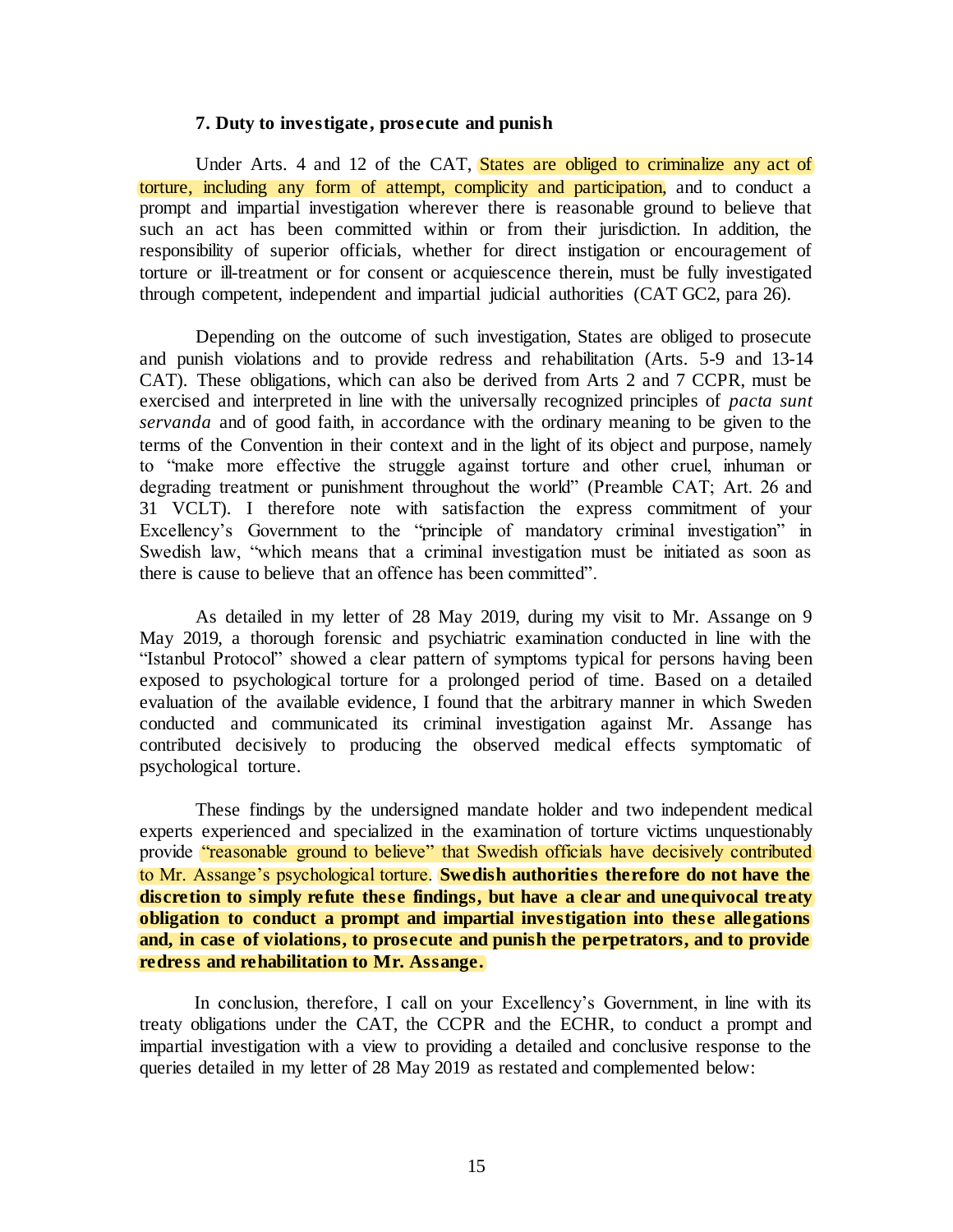#### **7. Duty to investigate, prosecute and punish**

Under Arts. 4 and 12 of the CAT, States are obliged to criminalize any act of torture, including any form of attempt, complicity and participation, and to conduct a prompt and impartial investigation wherever there is reasonable ground to believe that such an act has been committed within or from their jurisdiction. In addition, the responsibility of superior officials, whether for direct instigation or encouragement of torture or ill-treatment or for consent or acquiescence therein, must be fully investigated through competent, independent and impartial judicial authorities (CAT GC2, para 26).

Depending on the outcome of such investigation, States are obliged to prosecute and punish violations and to provide redress and rehabilitation (Arts. 5-9 and 13-14 CAT). These obligations, which can also be derived from Arts 2 and 7 CCPR, must be exercised and interpreted in line with the universally recognized principles of *pacta sunt servanda* and of good faith, in accordance with the ordinary meaning to be given to the terms of the Convention in their context and in the light of its object and purpose, namely to "make more effective the struggle against torture and other cruel, inhuman or degrading treatment or punishment throughout the world" (Preamble CAT; Art. 26 and 31 VCLT). I therefore note with satisfaction the express commitment of your Excellency's Government to the "principle of mandatory criminal investigation" in Swedish law, "which means that a criminal investigation must be initiated as soon as there is cause to believe that an offence has been committed".

As detailed in my letter of 28 May 2019, during my visit to Mr. Assange on 9 May 2019, a thorough forensic and psychiatric examination conducted in line with the "Istanbul Protocol" showed a clear pattern of symptoms typical for persons having been exposed to psychological torture for a prolonged period of time. Based on a detailed evaluation of the available evidence, I found that the arbitrary manner in which Sweden conducted and communicated its criminal investigation against Mr. Assange has contributed decisively to producing the observed medical effects symptomatic of psychological torture.

These findings by the undersigned mandate holder and two independent medical experts experienced and specialized in the examination of torture victims unquestionably provide "reasonable ground to believe" that Swedish officials have decisively contributed to Mr. Assange's psychological torture. **Swedish authorities therefore do not have the discretion to simply refute these findings, but have a clear and unequivocal treaty obligation to conduct a prompt and impartial investigation into these allegations and, in case of violations, to prosecute and punish the perpetrators, and to provide redress and rehabilitation to Mr. Assange.** 

In conclusion, therefore, I call on your Excellency's Government, in line with its treaty obligations under the CAT, the CCPR and the ECHR, to conduct a prompt and impartial investigation with a view to providing a detailed and conclusive response to the queries detailed in my letter of 28 May 2019 as restated and complemented below: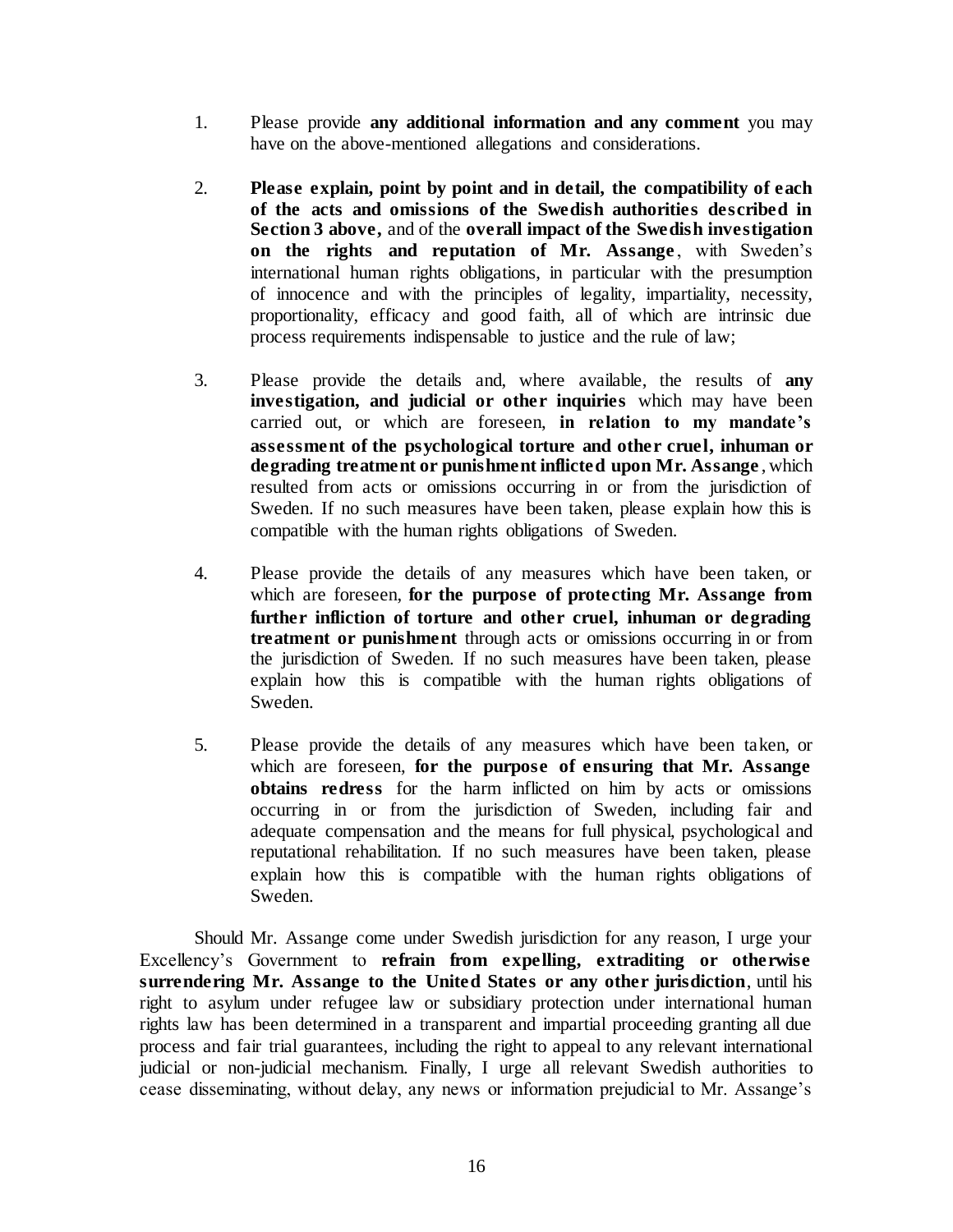- 1. Please provide **any additional information and any comment** you may have on the above-mentioned allegations and considerations.
- 2. **Please explain, point by point and in detail, the compatibility of each of the acts and omissions of the Swedish authorities described in Section 3 above,** and of the **overall impact of the Swedish investigation on the rights and reputation of Mr. Assange**, with Sweden's international human rights obligations, in particular with the presumption of innocence and with the principles of legality, impartiality, necessity, proportionality, efficacy and good faith, all of which are intrinsic due process requirements indispensable to justice and the rule of law;
- 3. Please provide the details and, where available, the results of **any investigation, and judicial or other inquiries** which may have been carried out, or which are foreseen, **in relation to my mandate's assessment of the psychological torture and other cruel, inhuman or degrading treatment or punishment inflicted upon Mr. Assange** , which resulted from acts or omissions occurring in or from the jurisdiction of Sweden. If no such measures have been taken, please explain how this is compatible with the human rights obligations of Sweden.
- 4. Please provide the details of any measures which have been taken, or which are foreseen, **for the purpose of protecting Mr. Assange from further infliction of torture and other cruel, inhuman or degrading treatment or punishment** through acts or omissions occurring in or from the jurisdiction of Sweden. If no such measures have been taken, please explain how this is compatible with the human rights obligations of Sweden.
- 5. Please provide the details of any measures which have been taken, or which are foreseen, **for the purpose of ensuring that Mr. Assange obtains redress** for the harm inflicted on him by acts or omissions occurring in or from the jurisdiction of Sweden, including fair and adequate compensation and the means for full physical, psychological and reputational rehabilitation. If no such measures have been taken, please explain how this is compatible with the human rights obligations of Sweden.

Should Mr. Assange come under Swedish jurisdiction for any reason, I urge your Excellency's Government to **refrain from expelling, extraditing or otherwise surrendering Mr. Assange to the United States or any other jurisdiction**, until his right to asylum under refugee law or subsidiary protection under international human rights law has been determined in a transparent and impartial proceeding granting all due process and fair trial guarantees, including the right to appeal to any relevant international judicial or non-judicial mechanism. Finally, I urge all relevant Swedish authorities to cease disseminating, without delay, any news or information prejudicial to Mr. Assange's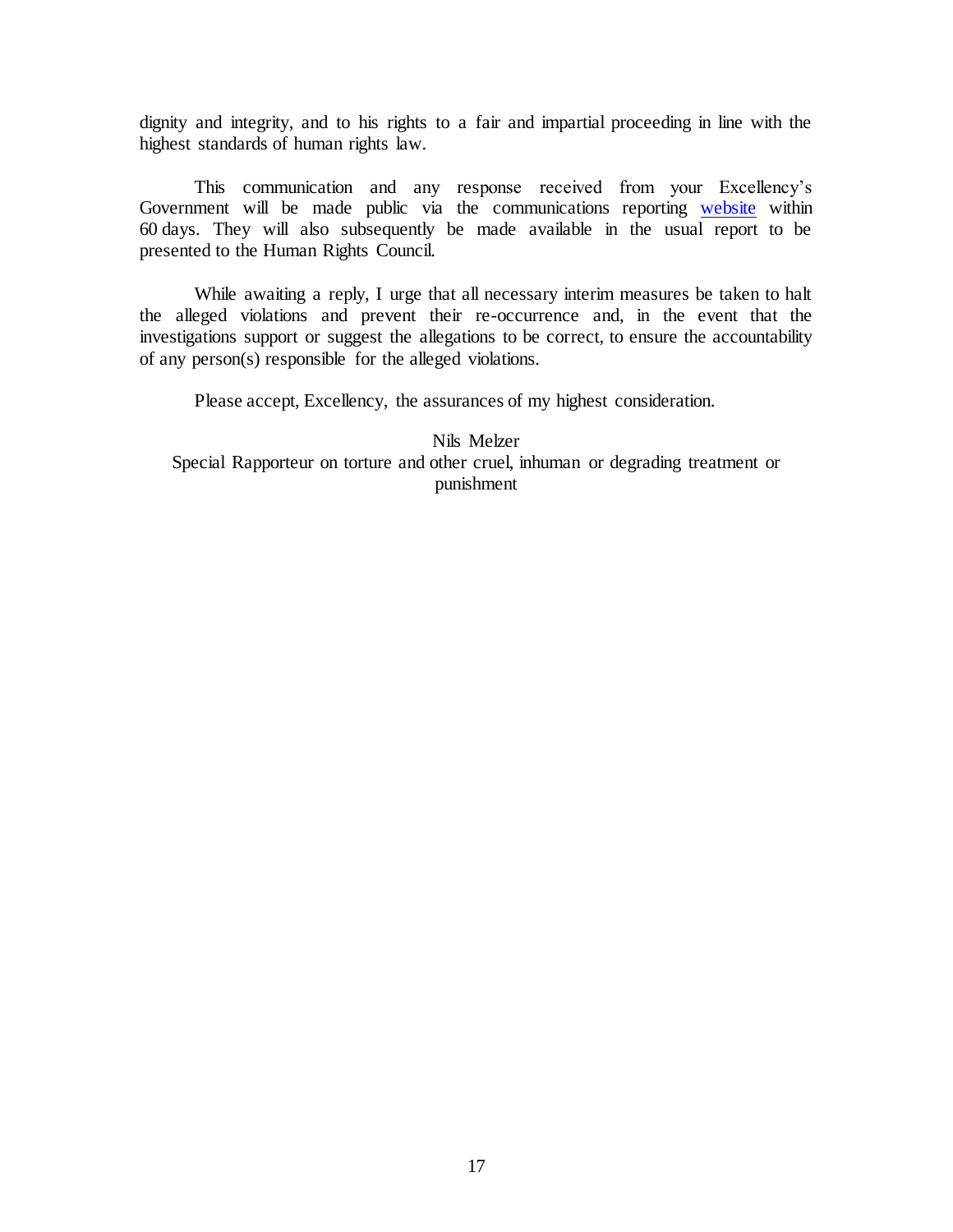dignity and integrity, and to his rights to a fair and impartial proceeding in line with the highest standards of human rights law.

This communication and any response received from your Excellency's Government will be made public via the communications reporting [website](https://spcommreports.ohchr.org/) within 60 days. They will also subsequently be made available in the usual report to be presented to the Human Rights Council.

While awaiting a reply, I urge that all necessary interim measures be taken to halt the alleged violations and prevent their re-occurrence and, in the event that the investigations support or suggest the allegations to be correct, to ensure the accountability of any person(s) responsible for the alleged violations.

Please accept, Excellency, the assurances of my highest consideration.

Nils Melzer Special Rapporteur on torture and other cruel, inhuman or degrading treatment or punishment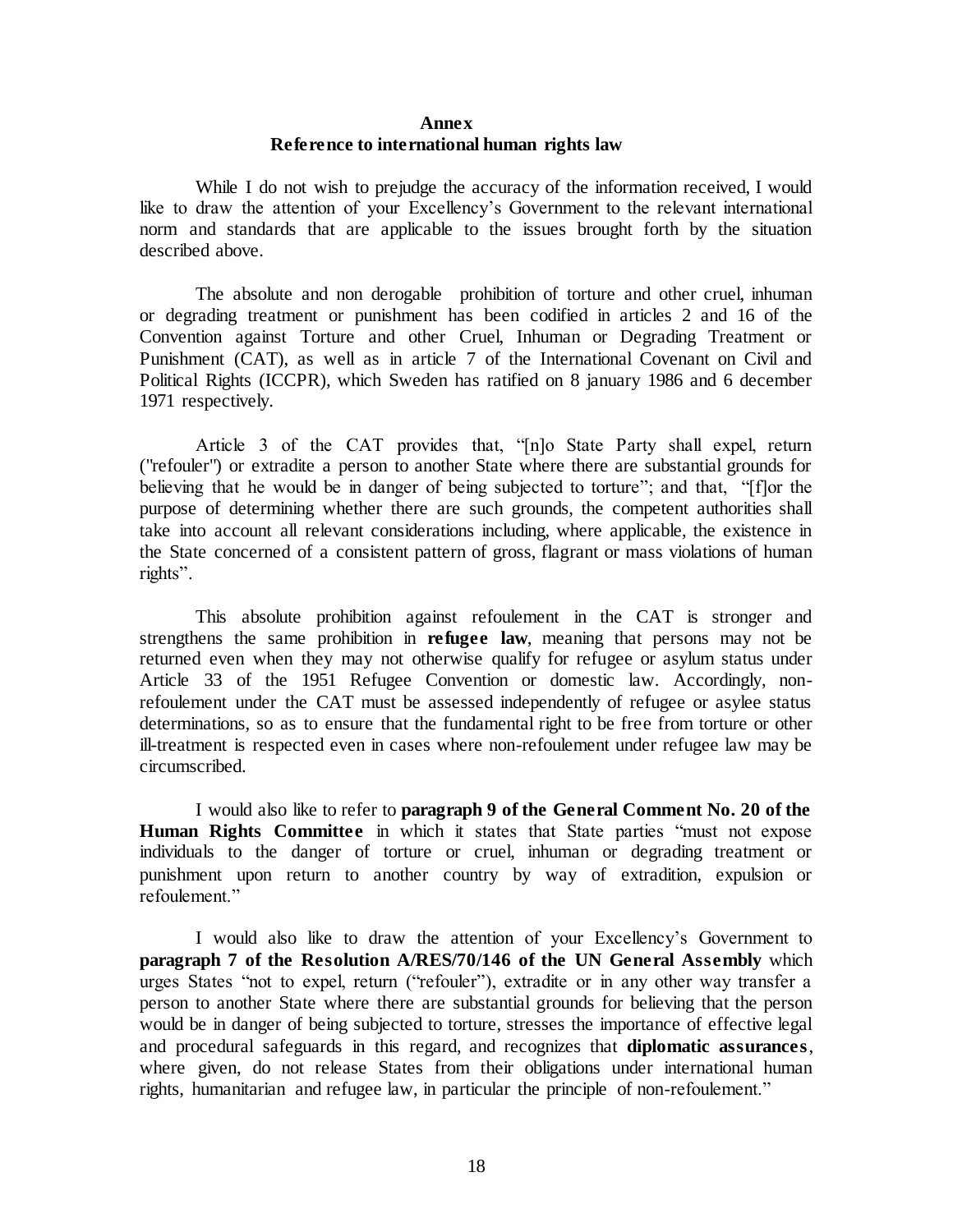### **Annex Reference to international human rights law**

While I do not wish to prejudge the accuracy of the information received, I would like to draw the attention of your Excellency's Government to the relevant international norm and standards that are applicable to the issues brought forth by the situation described above.

The absolute and non derogable prohibition of torture and other cruel, inhuman or degrading treatment or punishment has been codified in articles 2 and 16 of the Convention against Torture and other Cruel, Inhuman or Degrading Treatment or Punishment (CAT), as well as in article 7 of the International Covenant on Civil and Political Rights (ICCPR), which Sweden has ratified on 8 january 1986 and 6 december 1971 respectively.

Article 3 of the CAT provides that, "[n]o State Party shall expel, return ("refouler") or extradite a person to another State where there are substantial grounds for believing that he would be in danger of being subjected to torture"; and that, "[f]or the purpose of determining whether there are such grounds, the competent authorities shall take into account all relevant considerations including, where applicable, the existence in the State concerned of a consistent pattern of gross, flagrant or mass violations of human rights".

This absolute prohibition against refoulement in the CAT is stronger and strengthens the same prohibition in **refugee law**, meaning that persons may not be returned even when they may not otherwise qualify for refugee or asylum status under Article 33 of the 1951 Refugee Convention or domestic law. Accordingly, nonrefoulement under the CAT must be assessed independently of refugee or asylee status determinations, so as to ensure that the fundamental right to be free from torture or other ill-treatment is respected even in cases where non-refoulement under refugee law may be circumscribed.

I would also like to refer to **paragraph 9 of the General Comment No. 20 of the Human Rights Committee** in which it states that State parties "must not expose individuals to the danger of torture or cruel, inhuman or degrading treatment or punishment upon return to another country by way of extradition, expulsion or refoulement."

I would also like to draw the attention of your Excellency's Government to **paragraph 7 of the Resolution A/RES/70/146 of the UN General Assembly** which urges States "not to expel, return ("refouler"), extradite or in any other way transfer a person to another State where there are substantial grounds for believing that the person would be in danger of being subjected to torture, stresses the importance of effective legal and procedural safeguards in this regard, and recognizes that **diplomatic assurances**, where given, do not release States from their obligations under international human rights, humanitarian and refugee law, in particular the principle of non-refoulement."